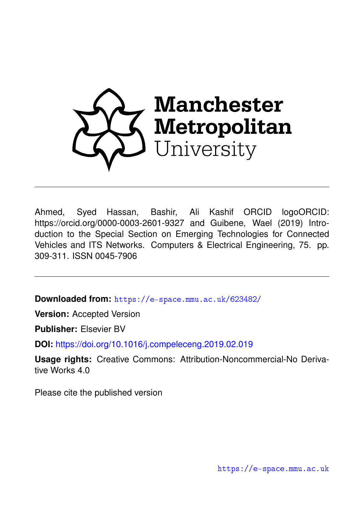

Ahmed, Syed Hassan, Bashir, Ali Kashif ORCID logoORCID: https://orcid.org/0000-0003-2601-9327 and Guibene, Wael (2019) Introduction to the Special Section on Emerging Technologies for Connected Vehicles and ITS Networks. Computers & Electrical Engineering, 75. pp. 309-311. ISSN 0045-7906

**Downloaded from:** <https://e-space.mmu.ac.uk/623482/>

**Version:** Accepted Version

**Publisher:** Elsevier BV

**DOI:** <https://doi.org/10.1016/j.compeleceng.2019.02.019>

**Usage rights:** Creative Commons: Attribution-Noncommercial-No Derivative Works 4.0

Please cite the published version

<https://e-space.mmu.ac.uk>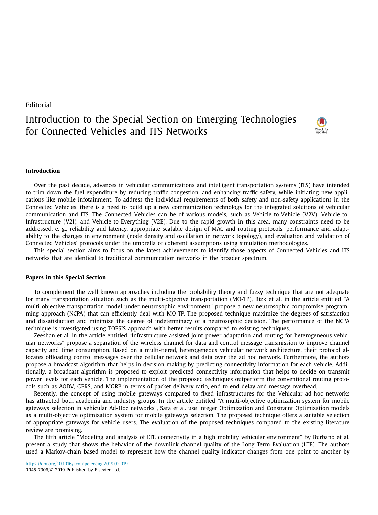## Editorial

# Introduction to the Special Section on Emerging Technologies for Connected Vehicles and ITS Networks



## **Introduction**

Over the past decade, advances in vehicular communications and intelligent transportation systems (ITS) have intended to trim down the fuel expenditure by reducing traffic congestion, and enhancing traffic safety, while initiating new applications like mobile infotainment. To address the individual requirements of both safety and non-safety applications in the Connected Vehicles, there is a need to build up a new communication technology for the integrated solutions of vehicular communication and ITS. The Connected Vehicles can be of various models, such as Vehicle-to-Vehicle (V2V), Vehicle-to-Infrastructure (V2I), and Vehicle-to-Everything (V2E). Due to the rapid growth in this area, many constraints need to be addressed, e. g., reliability and latency, appropriate scalable design of MAC and routing protocols, performance and adaptability to the changes in environment (node density and oscillation in network topology), and evaluation and validation of Connected Vehicles' protocols under the umbrella of coherent assumptions using simulation methodologies.

This special section aims to focus on the latest achievements to identify those aspects of Connected Vehicles and ITS networks that are identical to traditional communication networks in the broader spectrum.

### **Papers in this Special Section**

To complement the well known approaches including the probability theory and fuzzy technique that are not adequate for many transportation situation such as the multi-objective transportation (MO-TP), Rizk et al. in the article entitled "A multi-objective transportation model under neutrosophic environment" propose a new neutrosophic compromise programming approach (NCPA) that can efficiently deal with MO-TP. The proposed technique maximize the degrees of satisfaction and dissatisfaction and minimize the degree of indeterminacy of a neutrosophic decision. The performance of the NCPA technique is investigated using TOPSIS approach with better results compared to existing techniques.

Zeeshan et al. in the article entitled "Infrastructure-assisted joint power adaptation and routing for heterogeneous vehicular networks" propose a separation of the wireless channel for data and control message transmission to improve channel capacity and time consumption. Based on a multi-tiered, heterogeneous vehicular network architecture, their protocol allocates offloading control messages over the cellular network and data over the ad hoc network. Furthermore, the authors propose a broadcast algorithm that helps in decision making by predicting connectivity information for each vehicle. Additionally, a broadcast algorithm is proposed to exploit predicted connectivity information that helps to decide on transmit power levels for each vehicle. The implementation of the proposed techniques outperform the conventional routing protocols such as AODV, GPRS, and MGRP in terms of packet delivery ratio, end to end delay and message overhead.

Recently, the concept of using mobile gateways compared to fixed infrastructures for the Vehicular ad-hoc networks has attracted both academia and industry groups. In the article entitled "A multi-objective optimization system for mobile gateways selection in vehicular Ad-Hoc networks", Sara et al. use Integer Optimization and Constraint Optimization models as a multi-objective optimization system for mobile gateways selection. The proposed technique offers a suitable selection of appropriate gateways for vehicle users. The evaluation of the proposed techniques compared to the existing literature review are promising.

The fifth article "Modeling and analysis of LTE connectivity in a high mobility vehicular environment" by Burbano et al. present a study that shows the behavior of the downlink channel quality of the Long Term Evaluation (LTE). The authors used a Markov-chain based model to represent how the channel quality indicator changes from one point to another by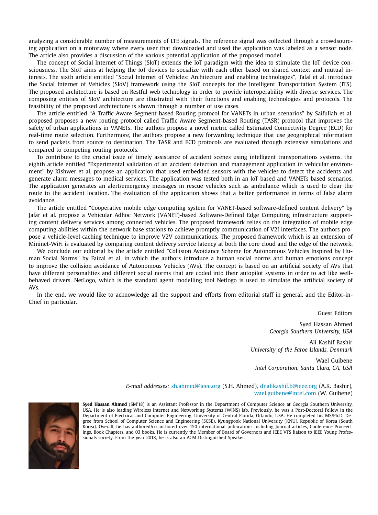analyzing a considerable number of measurements of LTE signals. The reference signal was collected through a crowdsourcing application on a motorway where every user that downloaded and used the application was labeled as a sensor node. The article also provides a discussion of the various potential application of the proposed model.

The concept of Social Internet of Things (SIoT) extends the IoT paradigm with the idea to stimulate the IoT device consciousness. The SIoT aims at helping the IoT devices to socialize with each other based on shared context and mutual interests. The sixth article entitled "Social Internet of Vehicles: Architecture and enabling technologies", Talal et al. introduce the Social Internet of Vehicles (SIoV) framework using the SIoT concepts for the Intelligent Transportation System (ITS). The proposed architecture is based on Restful web technology in order to provide interoperability with diverse services. The composing entities of SIoV architecture are illustrated with their functions and enabling technologies and protocols. The feasibility of the proposed architecture is shown through a number of use cases.

The article entitled "A Traffic-Aware Segment-based Routing protocol for VANETs in urban scenarios" by Saifullah et al. proposed proposes a new routing protocol called Traffic Aware Segment-based Routing (TASR) protocol that improves the safety of urban applications in VANETs. The authors propose a novel metric called Estimated Connectivity Degree (ECD) for real-time route selection. Furthermore, the authors propose a new forwarding technique that use geographical information to send packets from source to destination. The TASR and ECD protocols are evaluated through extensive simulations and compared to competing routing protocols.

To contribute to the crucial issue of timely assistance of accident scenes using intelligent transportations systems, the eighth article entitled "Experimental validation of an accident detection and management application in vehicular environment" by Kishwer et al. propose an application that used embedded sensors with the vehicles to detect the accidents and generate alarm messages to medical services. The application was tested both in an IoT based and VANETs based scenarios. The application generates an alert/emergency messages in rescue vehicles such as ambulance which is used to clear the route to the accident location. The evaluation of the application shows that a better performance in terms of false alarm avoidance.

The article entitled "Cooperative mobile edge computing system for VANET-based software-defined content delivery" by Jafar et al. propose a Vehicular Adhoc Network (VANET)-based Software-Defined Edge Computing infrastructure supporting content delivery services among connected vehicles. The proposed framework relies on the integration of mobile edge computing abilities within the network base stations to achieve promptly communication of V2I interfaces. The authors propose a vehicle-level caching technique to improve V2V communications. The proposed framework which is an extension of Mininet-WiFi is evaluated by comparing content delivery service latency at both the core cloud and the edge of the network.

We conclude our editorial by the article entitled "Collision Avoidance Scheme for Autonomous Vehicles Inspired by Human Social Norms" by Faizal et al. in which the authors introduce a human social norms and human emotions concept to improve the collision avoidance of Autonomous Vehicles (AVs). The concept is based on an artificial society of AVs that have different personalities and different social norms that are coded into their autopilot systems in order to act like wellbehaved drivers. NetLogo, which is the standard agent modelling tool Netlogo is used to simulate the artificial society of AV<sub>s</sub>

In the end, we would like to acknowledge all the support and efforts from editorial staff in general, and the Editor-in-Chief in particular.

Guest Editors

Syed Hassan Ahmed *Georgia Southern University, USA*

Ali Kashif Bashir *University of the Faroe Islands, Denmark*

Wael Guibene *Intel Corporation, Santa Clara, CA, USA*

#### *E-mail addresses:* [sh.ahmed@ieee.org](mailto:sh.ahmed@ieee.org) (S.H. Ahmed), [dr.alikashif.b@ieee.org](mailto:dr.alikashif.b@ieee.org) (A.K. Bashir), [wael.guibene@intel.com](mailto:wael.guibene@intel.com) (W. Guibene)



**Syed Hassan Ahmed** (SM'18) is an Assistant Professor in the Department of Computer Science at Georgia Southern University, USA. He is also leading Wireless Internet and Networking Systems (WINS) lab. Previously, he was a Post-Doctoral Fellow in the Department of Electrical and Computer Engineering, University of Central Florida, Orlando, USA. He completed his MS/Ph.D. Degree from School of Computer Science and Engineering (SCSE), Kyungpook National University (KNU), Republic of Korea (South Korea). Overall, he has authored/co-authored over 150 international publications including Journal articles, Conference Proceedings, Book Chapters, and 03 books. He is currently the Member of Board of Governors and IEEE VTS liaison to IEEE Young Professionals society. From the year 2018, he is also an ACM Distinguished Speaker.